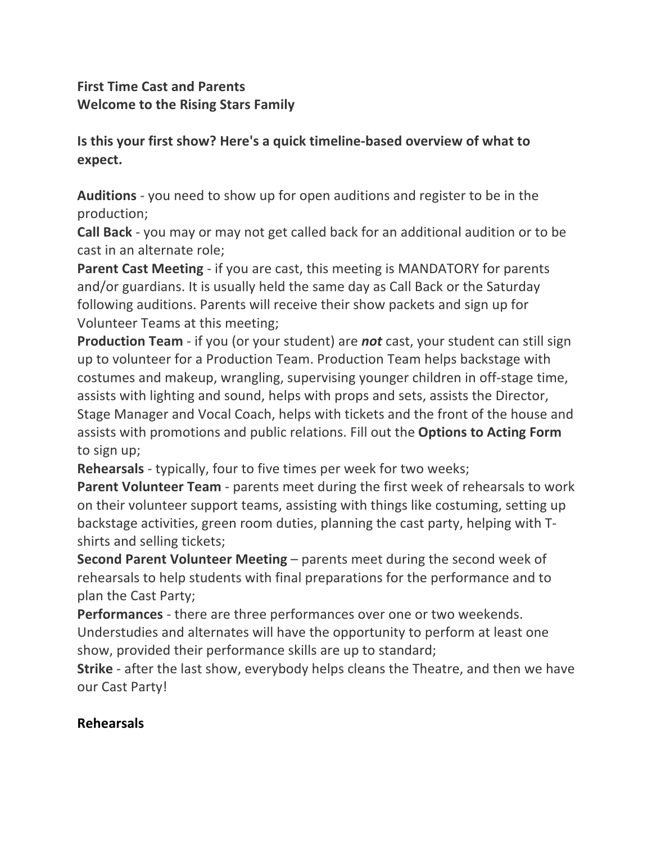## **First Time Cast and Parents Welcome to the Rising Stars Family**

## **Is this your first show? Here's a quick timeline-based overview of what to expect.**

**Auditions** - you need to show up for open auditions and register to be in the production;

**Call Back** - you may or may not get called back for an additional audition or to be cast in an alternate role;

**Parent Cast Meeting** - if you are cast, this meeting is MANDATORY for parents and/or guardians. It is usually held the same day as Call Back or the Saturday following auditions. Parents will receive their show packets and sign up for Volunteer Teams at this meeting;

**Production Team** - if you (or your student) are **not** cast, your student can still sign up to volunteer for a Production Team. Production Team helps backstage with costumes and makeup, wrangling, supervising younger children in off-stage time, assists with lighting and sound, helps with props and sets, assists the Director, Stage Manager and Vocal Coach, helps with tickets and the front of the house and assists with promotions and public relations. Fill out the **Options to Acting Form** to sign up;

**Rehearsals** - typically, four to five times per week for two weeks;

**Parent Volunteer Team** - parents meet during the first week of rehearsals to work on their volunteer support teams, assisting with things like costuming, setting up backstage activities, green room duties, planning the cast party, helping with Tshirts and selling tickets;

**Second Parent Volunteer Meeting** – parents meet during the second week of rehearsals to help students with final preparations for the performance and to plan the Cast Party;

**Performances** - there are three performances over one or two weekends. Understudies and alternates will have the opportunity to perform at least one show, provided their performance skills are up to standard;

**Strike** - after the last show, everybody helps cleans the Theatre, and then we have our Cast Party!

## **Rehearsals**